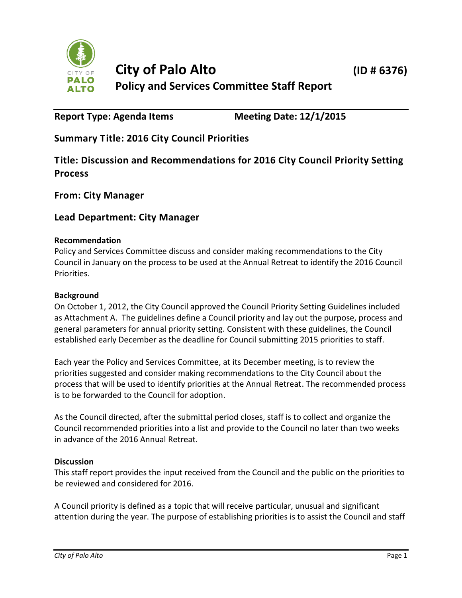

# **Report Type: Agenda Items Meeting Date: 12/1/2015**

**Summary Title: 2016 City Council Priorities**

**Title: Discussion and Recommendations for 2016 City Council Priority Setting Process**

**From: City Manager**

# **Lead Department: City Manager**

#### **Recommendation**

Policy and Services Committee discuss and consider making recommendations to the City Council in January on the process to be used at the Annual Retreat to identify the 2016 Council Priorities.

#### **Background**

On October 1, 2012, the City Council approved the Council Priority Setting Guidelines included as Attachment A. The guidelines define a Council priority and lay out the purpose, process and general parameters for annual priority setting. Consistent with these guidelines, the Council established early December as the deadline for Council submitting 2015 priorities to staff.

Each year the Policy and Services Committee, at its December meeting, is to review the priorities suggested and consider making recommendations to the City Council about the process that will be used to identify priorities at the Annual Retreat. The recommended process is to be forwarded to the Council for adoption.

As the Council directed, after the submittal period closes, staff is to collect and organize the Council recommended priorities into a list and provide to the Council no later than two weeks in advance of the 2016 Annual Retreat.

## **Discussion**

This staff report provides the input received from the Council and the public on the priorities to be reviewed and considered for 2016.

A Council priority is defined as a topic that will receive particular, unusual and significant attention during the year. The purpose of establishing priorities is to assist the Council and staff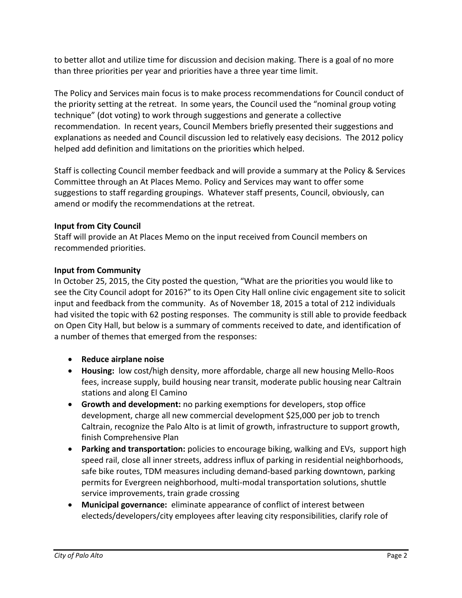to better allot and utilize time for discussion and decision making. There is a goal of no more than three priorities per year and priorities have a three year time limit.

The Policy and Services main focus is to make process recommendations for Council conduct of the priority setting at the retreat. In some years, the Council used the "nominal group voting technique" (dot voting) to work through suggestions and generate a collective recommendation. In recent years, Council Members briefly presented their suggestions and explanations as needed and Council discussion led to relatively easy decisions. The 2012 policy helped add definition and limitations on the priorities which helped.

Staff is collecting Council member feedback and will provide a summary at the Policy & Services Committee through an At Places Memo. Policy and Services may want to offer some suggestions to staff regarding groupings. Whatever staff presents, Council, obviously, can amend or modify the recommendations at the retreat.

# **Input from City Council**

Staff will provide an At Places Memo on the input received from Council members on recommended priorities.

## **Input from Community**

In October 25, 2015, the City posted the question, "What are the priorities you would like to see the City Council adopt for 2016?" to its Open City Hall online civic engagement site to solicit input and feedback from the community. As of November 18, 2015 a total of 212 individuals had visited the topic with 62 posting responses. The community is still able to provide feedback on Open City Hall, but below is a summary of comments received to date, and identification of a number of themes that emerged from the responses:

- **Reduce airplane noise**
- **Housing:** low cost/high density, more affordable, charge all new housing Mello-Roos fees, increase supply, build housing near transit, moderate public housing near Caltrain stations and along El Camino
- **Growth and development:** no parking exemptions for developers, stop office development, charge all new commercial development \$25,000 per job to trench Caltrain, recognize the Palo Alto is at limit of growth, infrastructure to support growth, finish Comprehensive Plan
- **Parking and transportation:** policies to encourage biking, walking and EVs, support high speed rail, close all inner streets, address influx of parking in residential neighborhoods, safe bike routes, TDM measures including demand-based parking downtown, parking permits for Evergreen neighborhood, multi-modal transportation solutions, shuttle service improvements, train grade crossing
- **Municipal governance:** eliminate appearance of conflict of interest between electeds/developers/city employees after leaving city responsibilities, clarify role of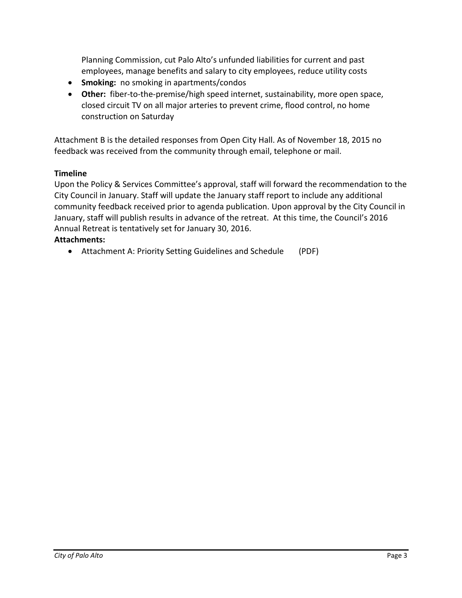Planning Commission, cut Palo Alto's unfunded liabilities for current and past employees, manage benefits and salary to city employees, reduce utility costs

- **Smoking:** no smoking in apartments/condos
- **Other:** fiber-to-the-premise/high speed internet, sustainability, more open space, closed circuit TV on all major arteries to prevent crime, flood control, no home construction on Saturday

Attachment B is the detailed responses from Open City Hall. As of November 18, 2015 no feedback was received from the community through email, telephone or mail.

## **Timeline**

Upon the Policy & Services Committee's approval, staff will forward the recommendation to the City Council in January. Staff will update the January staff report to include any additional community feedback received prior to agenda publication. Upon approval by the City Council in January, staff will publish results in advance of the retreat. At this time, the Council's 2016 Annual Retreat is tentatively set for January 30, 2016.

#### **Attachments:**

Attachment A: Priority Setting Guidelines and Schedule (PDF)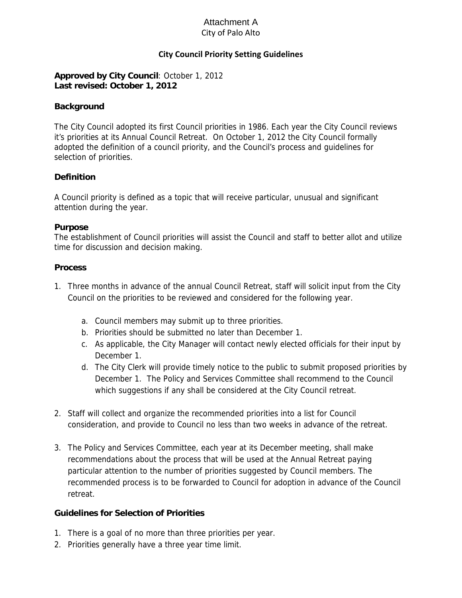## City of Palo Alto Attachment A

## **City Council Priority Setting Guidelines**

#### **Approved by City Council**: October 1, 2012 **Last revised: October 1, 2012**

#### **Background**

The City Council adopted its first Council priorities in 1986. Each year the City Council reviews it's priorities at its Annual Council Retreat. On October 1, 2012 the City Council formally adopted the definition of a council priority, and the Council's process and guidelines for selection of priorities.

#### **Definition**

A Council priority is defined as a topic that will receive particular, unusual and significant attention during the year.

#### **Purpose**

The establishment of Council priorities will assist the Council and staff to better allot and utilize time for discussion and decision making.

#### **Process**

- 1. Three months in advance of the annual Council Retreat, staff will solicit input from the City Council on the priorities to be reviewed and considered for the following year.
	- a. Council members may submit up to three priorities.
	- b. Priorities should be submitted no later than December 1.
	- c. As applicable, the City Manager will contact newly elected officials for their input by December 1.
	- d. The City Clerk will provide timely notice to the public to submit proposed priorities by December 1. The Policy and Services Committee shall recommend to the Council which suggestions if any shall be considered at the City Council retreat.
- 2. Staff will collect and organize the recommended priorities into a list for Council consideration, and provide to Council no less than two weeks in advance of the retreat.
- 3. The Policy and Services Committee, each year at its December meeting, shall make recommendations about the process that will be used at the Annual Retreat paying particular attention to the number of priorities suggested by Council members. The recommended process is to be forwarded to Council for adoption in advance of the Council retreat.

#### **Guidelines for Selection of Priorities**

- 1. There is a goal of no more than three priorities per year.
- 2. Priorities generally have a three year time limit.